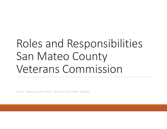# Roles and Responsibilities San Mateo County Veterans Commission

JOHN D. NIBBELIN, CHIEF DEPUTY, OFFICE OF THE COUNTY COUNSEL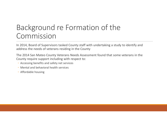## Background re Formation of the Commission

In 2014, Board of Supervisors tasked County staff with undertaking <sup>a</sup> study to identify and address the needs of veterans residing in the County

The 2014 San Mateo County Veterans Needs Assessment found that some veterans in the County require support including with respect to:

- Accessing benefits and safety net services
- Mental and behavioral health services
- Affordable housing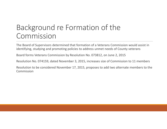## Background re Formation of the Commission

The Board of Supervisors determined that formation of <sup>a</sup> Veterans Commission would assist in identifying, studying and promoting policies to address unmet needs of County veterans

Board forms Veterans Commission by Resolution No. 073812, on June 2, 2015

Resolution No. 074159, dated November 3, 2015, increases size of Commission to 11 members

Resolution to be considered November 17, 2015, proposes to add two alternate members to the Commission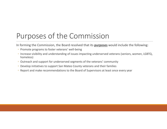## Purposes of the Commission

In forming the Commission, the Board resolved that its **purposes** would include the following:

- Promote programs to foster veterans' well‐being
- Increase visibility and understanding of issues impacting underserved veterans (seniors, women, LGBTQ, homeless)
- Outreach and support for underserved segments of the veterans' community
- Develop initiatives to support San Mateo County veterans and their families
- Report and make recommendations to the Board of Supervisors at least once every year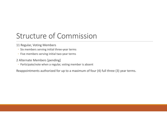# Structure of Commission

- 11 Regular, Voting Members
- Six members serving initial three‐year terms
- Five members serving initial two‐year terms
- 2 Alternate Members [pending]
- Participate/vote when <sup>a</sup> regular, voting member is absent

Reappointments authorized for up to <sup>a</sup> maximum of four (4) full three (3) year terms.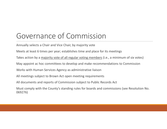# Governance of Commission

Annually selects <sup>a</sup> Chair and Vice Chair, by majority vote

Meets at least 6 times per year; establishes time and place for its meetings

Takes action by a <u>majority vote of all regular voting members</u> (i.e., a minimum of six votes)

May appoint ac hoc committees to develop and make recommendations to Commission

Works with Human Services Agency as administrative liaison

All meetings subject to Brown Act open meeting requirements

All documents and reports of Commission subject to Public Records Act

Must comply with the County's standing rules for boards and commissions (see Resolution No. 069276)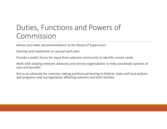# Duties, Functions and Powers of Commission

Advise and make recommendations to the Board of Supervisors

Develop and implement an annual work plan

Provide <sup>a</sup> public forum for input from veterans community to identify unmet needs

Work with existing veterans advocacy and service organizations to help coordinate systems of care and benefits

Act as an advocate for veterans; taking positions pertaining to federal, state and local policies and programs and any legislation affecting veterans and their families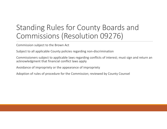# Standing Rules for County Boards and Commissions (Resolution 09276)

Commission subject to the Brown Act

Subject to all applicable County policies regarding non‐discrimination

Commissioners subject to applicable laws regarding conflicts of interest; must sign and return an acknowledgment that financial conflict laws apply

Avoidance of impropriety or the appearance of impropriety

Adoption of rules of procedure for the Commission; reviewed by County Counsel